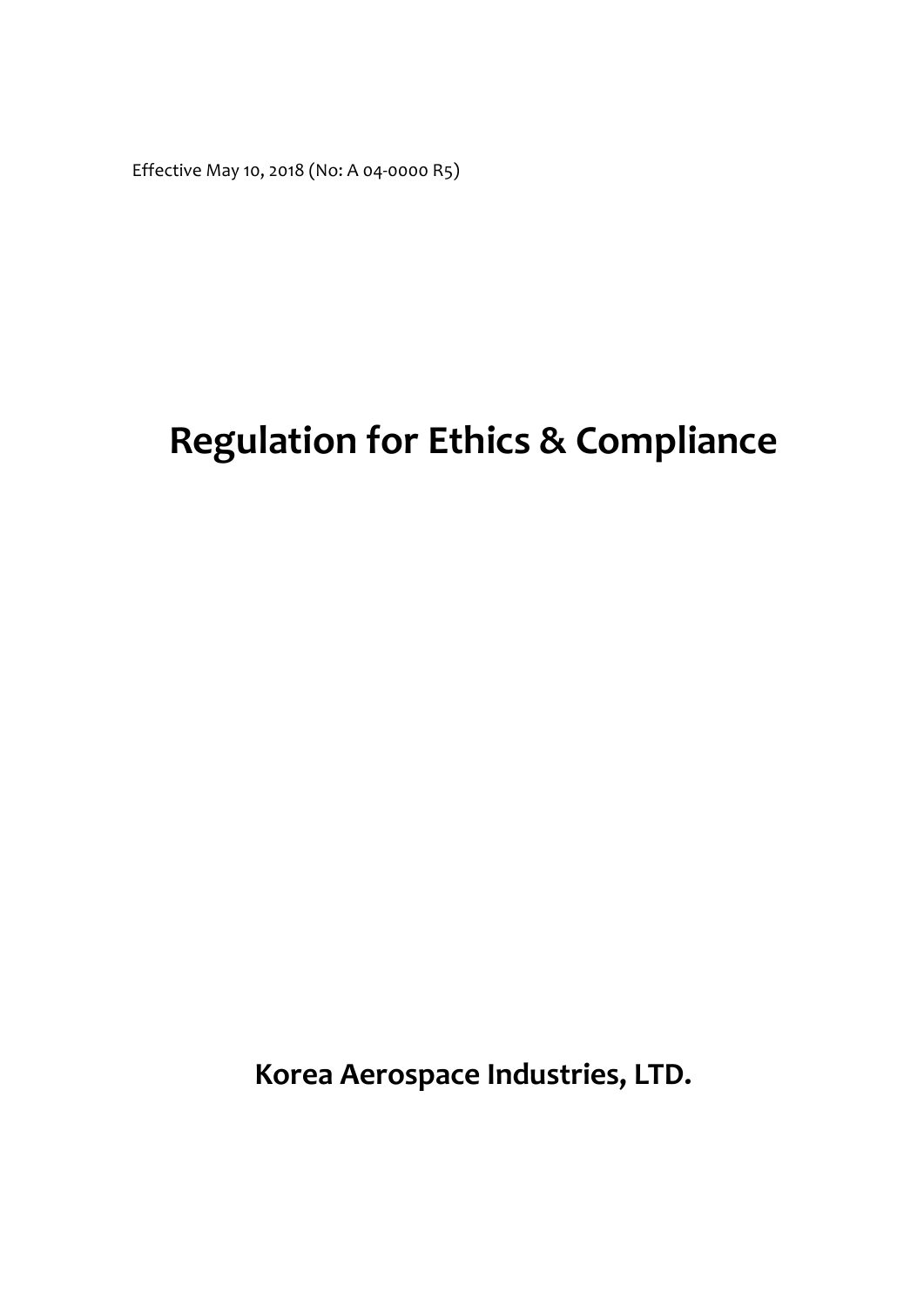Effective May 10, 2018 (No: A 04-0000 R5)

# **Regulation for Ethics & Compliance**

**Korea Aerospace Industries, LTD.**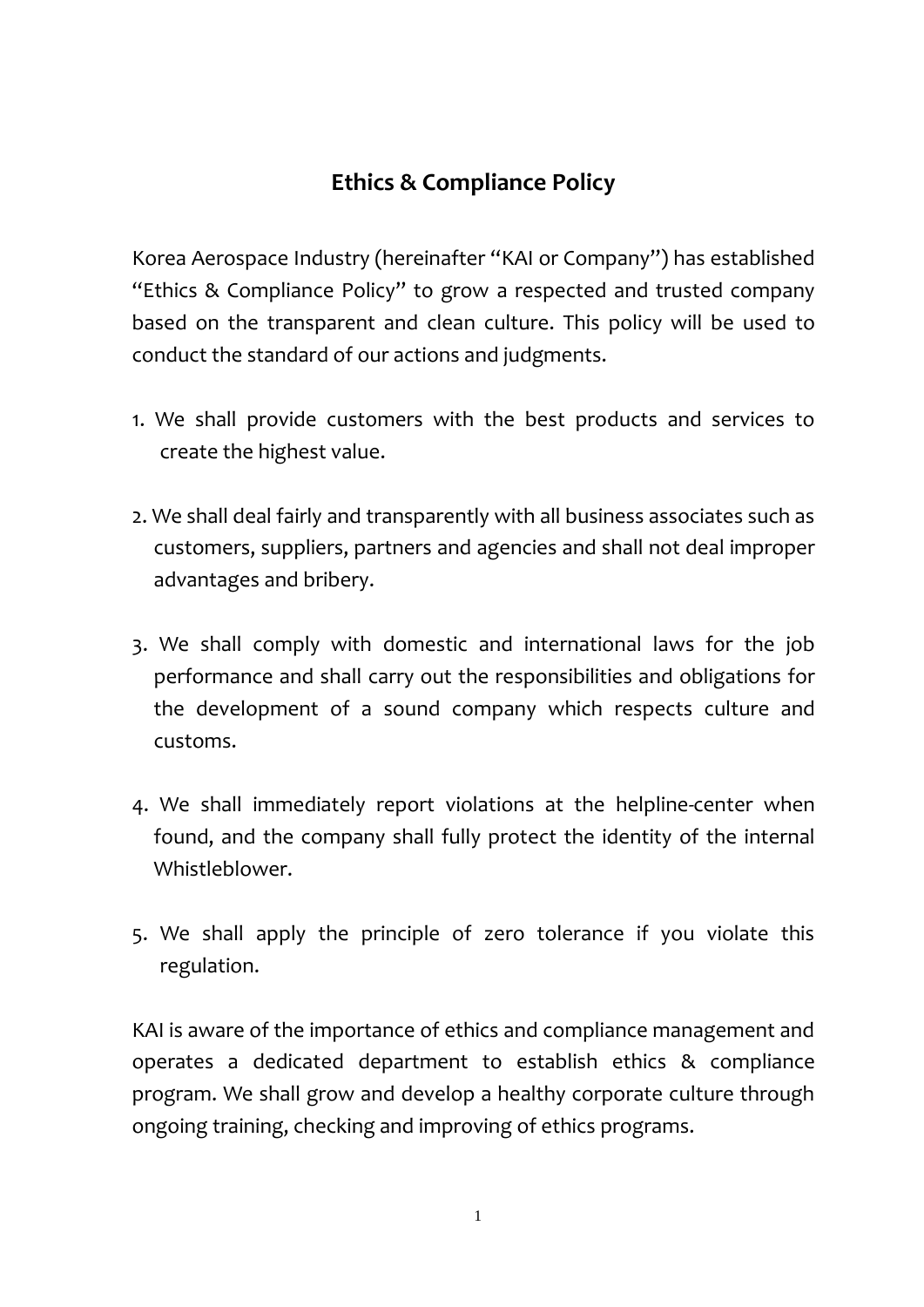# **Ethics & Compliance Policy**

Korea Aerospace Industry (hereinafter "KAI or Company") has established "Ethics & Compliance Policy" to grow a respected and trusted company based on the transparent and clean culture. This policy will be used to conduct the standard of our actions and judgments.

- 1. We shall provide customers with the best products and services to create the highest value.
- 2. We shall deal fairly and transparently with all business associates such as customers, suppliers, partners and agencies and shall not deal improper advantages and bribery.
- 3. We shall comply with domestic and international laws for the job performance and shall carry out the responsibilities and obligations for the development of a sound company which respects culture and customs.
- 4. We shall immediately report violations at the helpline-center when found, and the company shall fully protect the identity of the internal Whistleblower.
- 5. We shall apply the principle of zero tolerance if you violate this regulation.

KAI is aware of the importance of ethics and compliance management and operates a dedicated department to establish ethics & compliance program. We shall grow and develop a healthy corporate culture through ongoing training, checking and improving of ethics programs.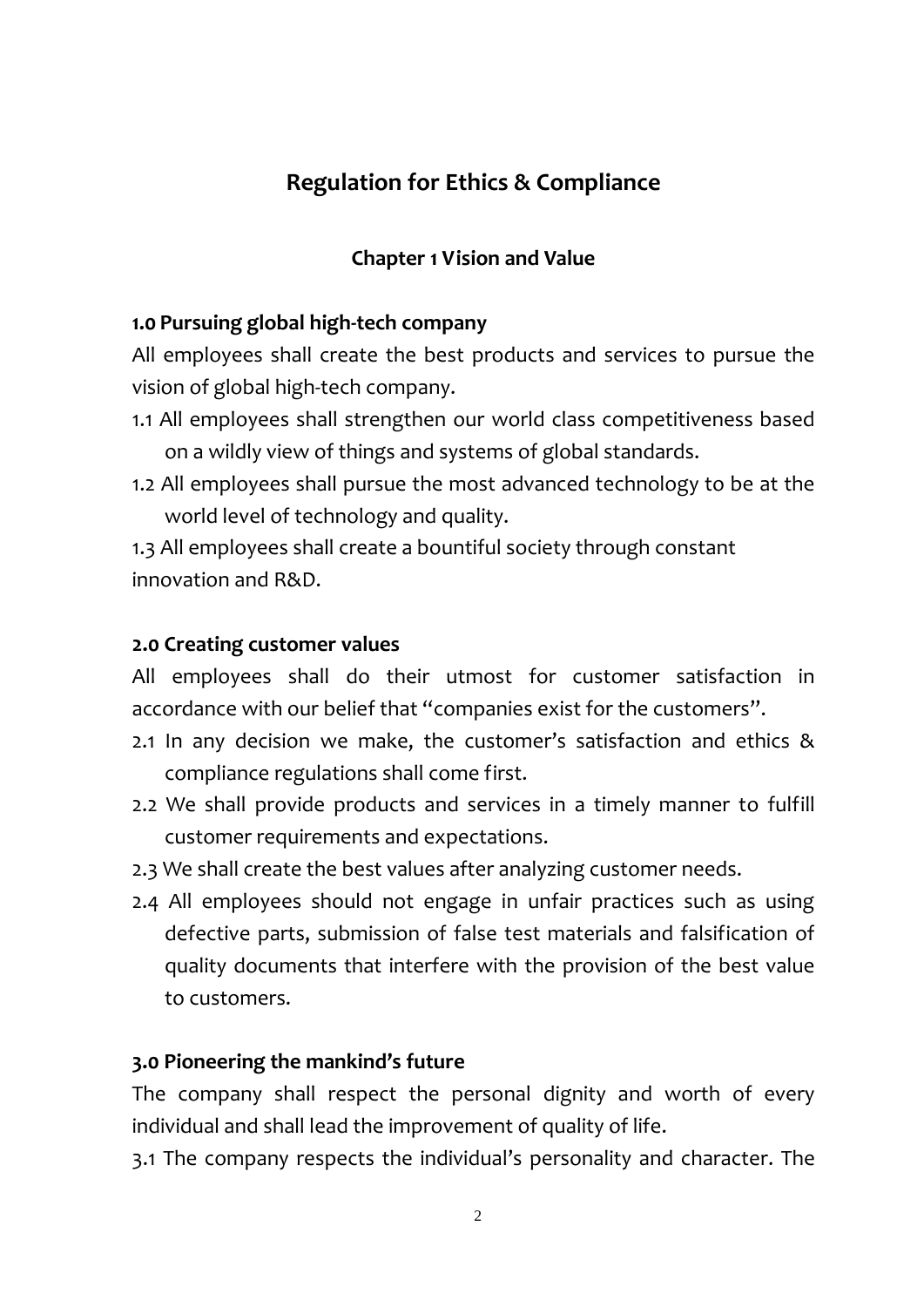# **Regulation for Ethics & Compliance**

# **Chapter 1 Vision and Value**

### **1.0 Pursuing global high-tech company**

All employees shall create the best products and services to pursue the vision of global high-tech company.

- 1.1 All employees shall strengthen our world class competitiveness based on a wildly view of things and systems of global standards.
- 1.2 All employees shall pursue the most advanced technology to be at the world level of technology and quality.

1.3 All employees shall create a bountiful society through constant innovation and R&D.

### **2.0 Creating customer values**

All employees shall do their utmost for customer satisfaction in accordance with our belief that "companies exist for the customers".

- 2.1 In any decision we make, the customer's satisfaction and ethics & compliance regulations shall come first.
- 2.2 We shall provide products and services in a timely manner to fulfill customer requirements and expectations.
- 2.3 We shall create the best values after analyzing customer needs.
- 2.4 All employees should not engage in unfair practices such as using defective parts, submission of false test materials and falsification of quality documents that interfere with the provision of the best value to customers.

#### **3.0 Pioneering the mankind's future**

The company shall respect the personal dignity and worth of every individual and shall lead the improvement of quality of life.

3.1 The company respects the individual's personality and character. The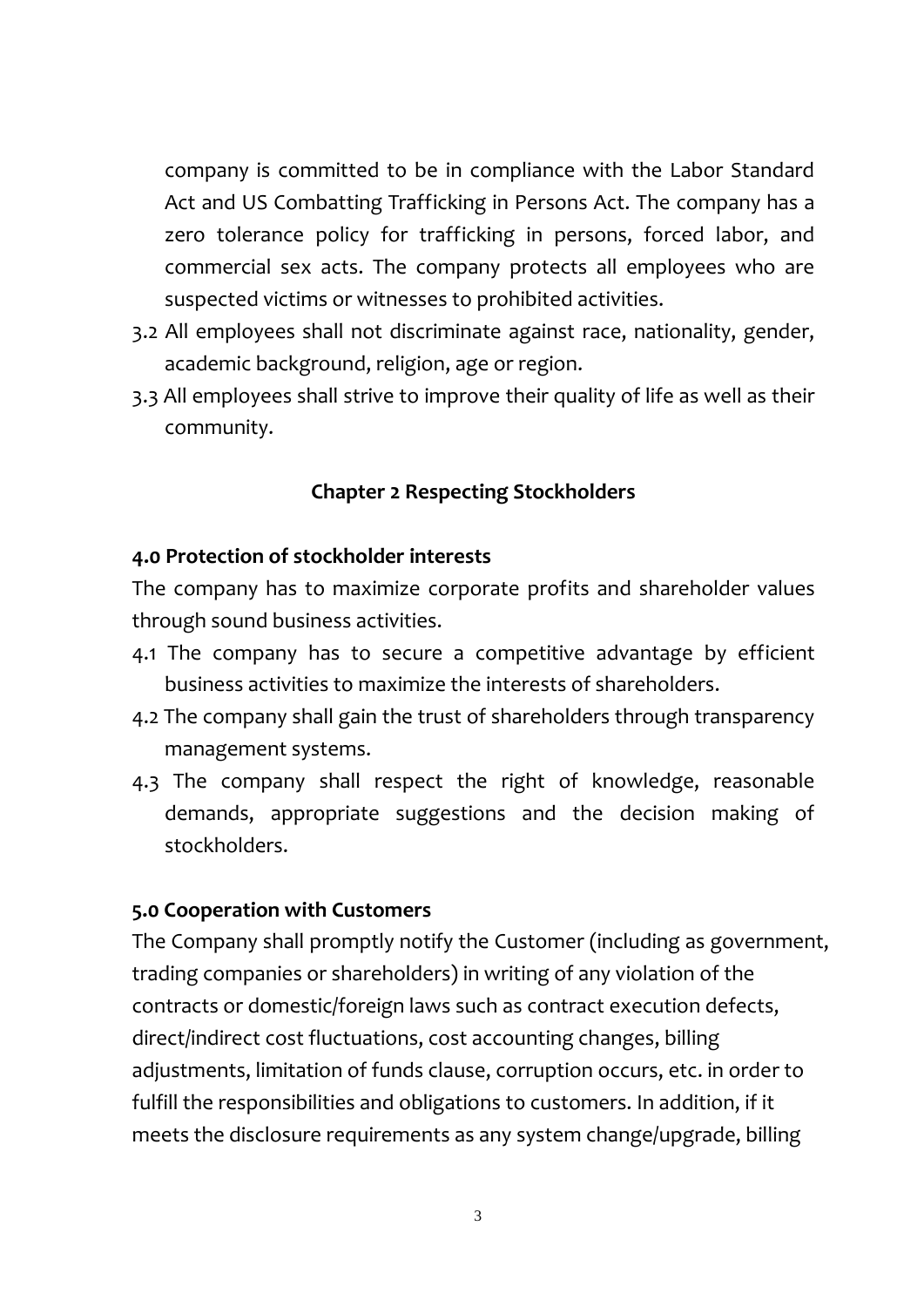company is committed to be in compliance with the Labor Standard Act and US Combatting Trafficking in Persons Act. The company has a zero tolerance policy for trafficking in persons, forced labor, and commercial sex acts. The company protects all employees who are suspected victims or witnesses to prohibited activities.

- 3.2 All employees shall not discriminate against race, nationality, gender, academic background, religion, age or region.
- 3.3 All employees shall strive to improve their quality of life as well as their community.

# **Chapter 2 Respecting Stockholders**

#### **4.0 Protection of stockholder interests**

The company has to maximize corporate profits and shareholder values through sound business activities.

- 4.1 The company has to secure a competitive advantage by efficient business activities to maximize the interests of shareholders.
- 4.2 The company shall gain the trust of shareholders through transparency management systems.
- 4.3 The company shall respect the right of knowledge, reasonable demands, appropriate suggestions and the decision making of stockholders.

#### **5.0 Cooperation with Customers**

The Company shall promptly notify the Customer (including as government, trading companies or shareholders) in writing of any violation of the contracts or domestic/foreign laws such as contract execution defects, direct/indirect cost fluctuations, cost accounting changes, billing adjustments, limitation of funds clause, corruption occurs, etc. in order to fulfill the responsibilities and obligations to customers. In addition, if it meets the disclosure requirements as any system change/upgrade, billing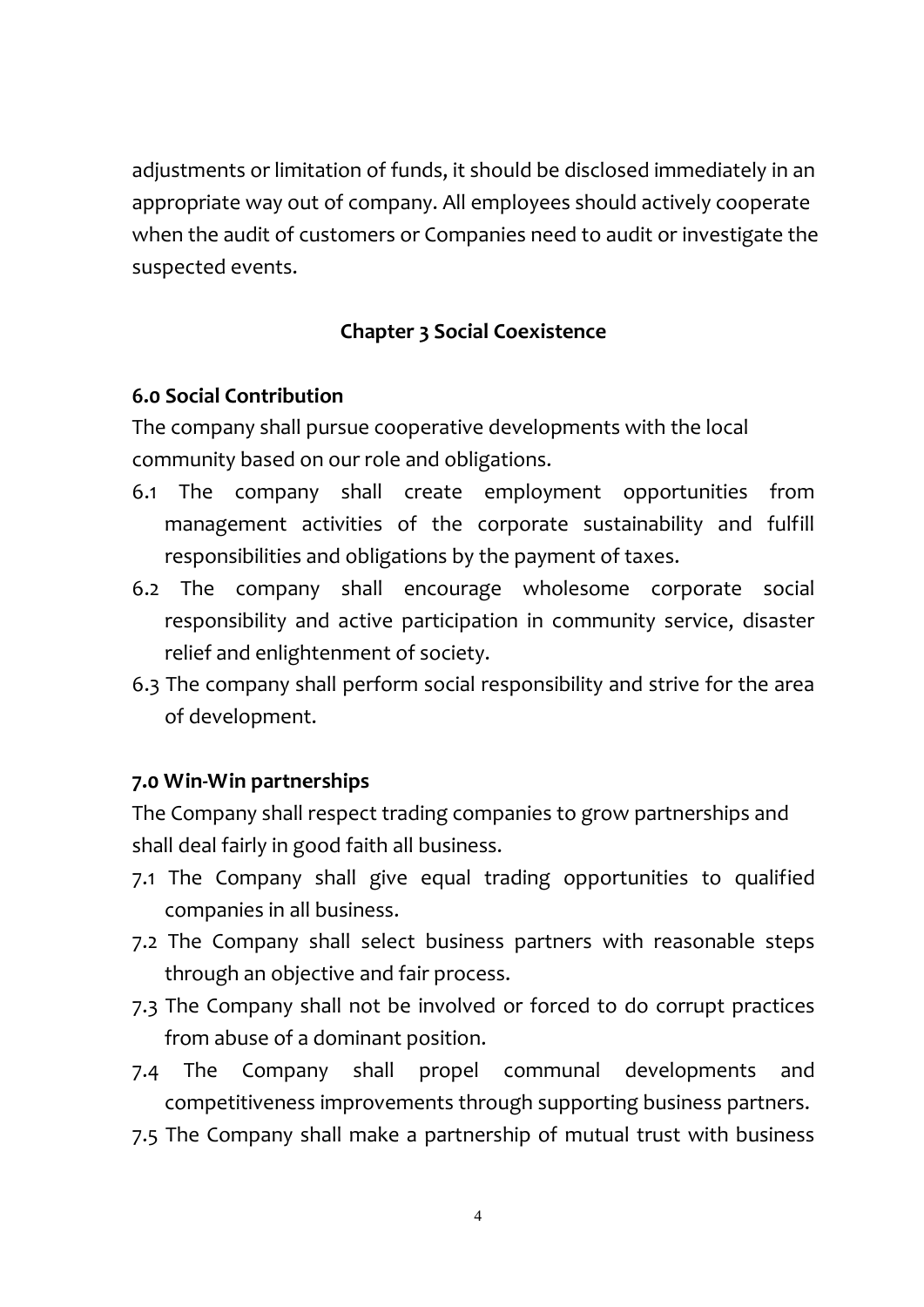adjustments or limitation of funds, it should be disclosed immediately in an appropriate way out of company. All employees should actively cooperate when the audit of customers or Companies need to audit or investigate the suspected events.

# **Chapter 3 Social Coexistence**

# **6.0 Social Contribution**

The company shall pursue cooperative developments with the local community based on our role and obligations.

- 6.1 The company shall create employment opportunities from management activities of the corporate sustainability and fulfill responsibilities and obligations by the payment of taxes.
- 6.2 The company shall encourage wholesome corporate social responsibility and active participation in community service, disaster relief and enlightenment of society.
- 6.3 The company shall perform social responsibility and strive for the area of development.

# **7.0 Win-Win partnerships**

The Company shall respect trading companies to grow partnerships and shall deal fairly in good faith all business.

- 7.1 The Company shall give equal trading opportunities to qualified companies in all business.
- 7.2 The Company shall select business partners with reasonable steps through an objective and fair process.
- 7.3 The Company shall not be involved or forced to do corrupt practices from abuse of a dominant position.
- 7.4 The Company shall propel communal developments and competitiveness improvements through supporting business partners.
- 7.5 The Company shall make a partnership of mutual trust with business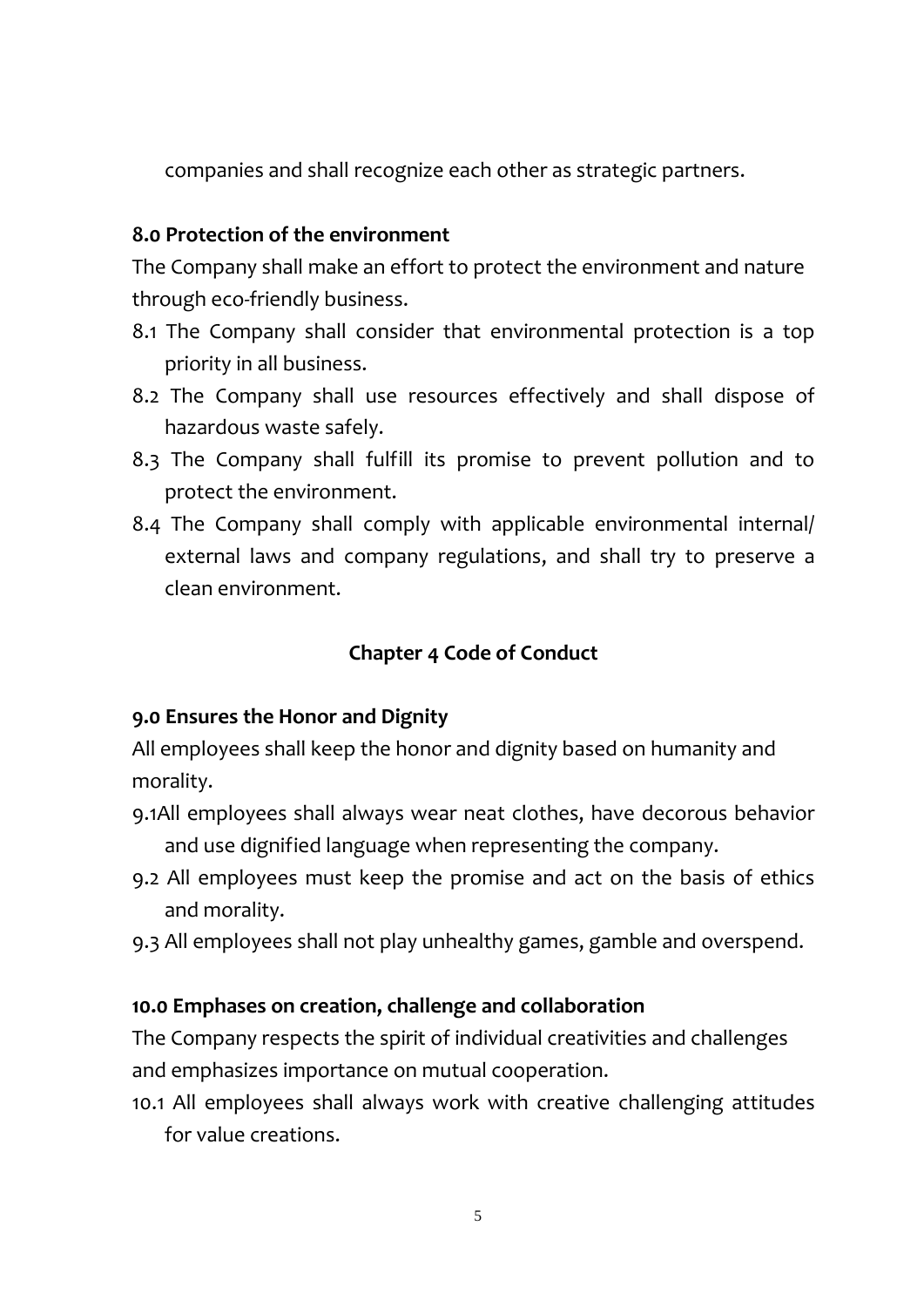companies and shall recognize each other as strategic partners.

# **8.0 Protection of the environment**

The Company shall make an effort to protect the environment and nature through eco-friendly business.

- 8.1 The Company shall consider that environmental protection is a top priority in all business.
- 8.2 The Company shall use resources effectively and shall dispose of hazardous waste safely.
- 8.3 The Company shall fulfill its promise to prevent pollution and to protect the environment.
- 8.4 The Company shall comply with applicable environmental internal/ external laws and company regulations, and shall try to preserve a clean environment.

# **Chapter 4 Code of Conduct**

# **9.0 Ensures the Honor and Dignity**

All employees shall keep the honor and dignity based on humanity and morality.

- 9.1All employees shall always wear neat clothes, have decorous behavior and use dignified language when representing the company.
- 9.2 All employees must keep the promise and act on the basis of ethics and morality.
- 9.3 All employees shall not play unhealthy games, gamble and overspend.

# **10.0 Emphases on creation, challenge and collaboration**

The Company respects the spirit of individual creativities and challenges and emphasizes importance on mutual cooperation.

10.1 All employees shall always work with creative challenging attitudes for value creations.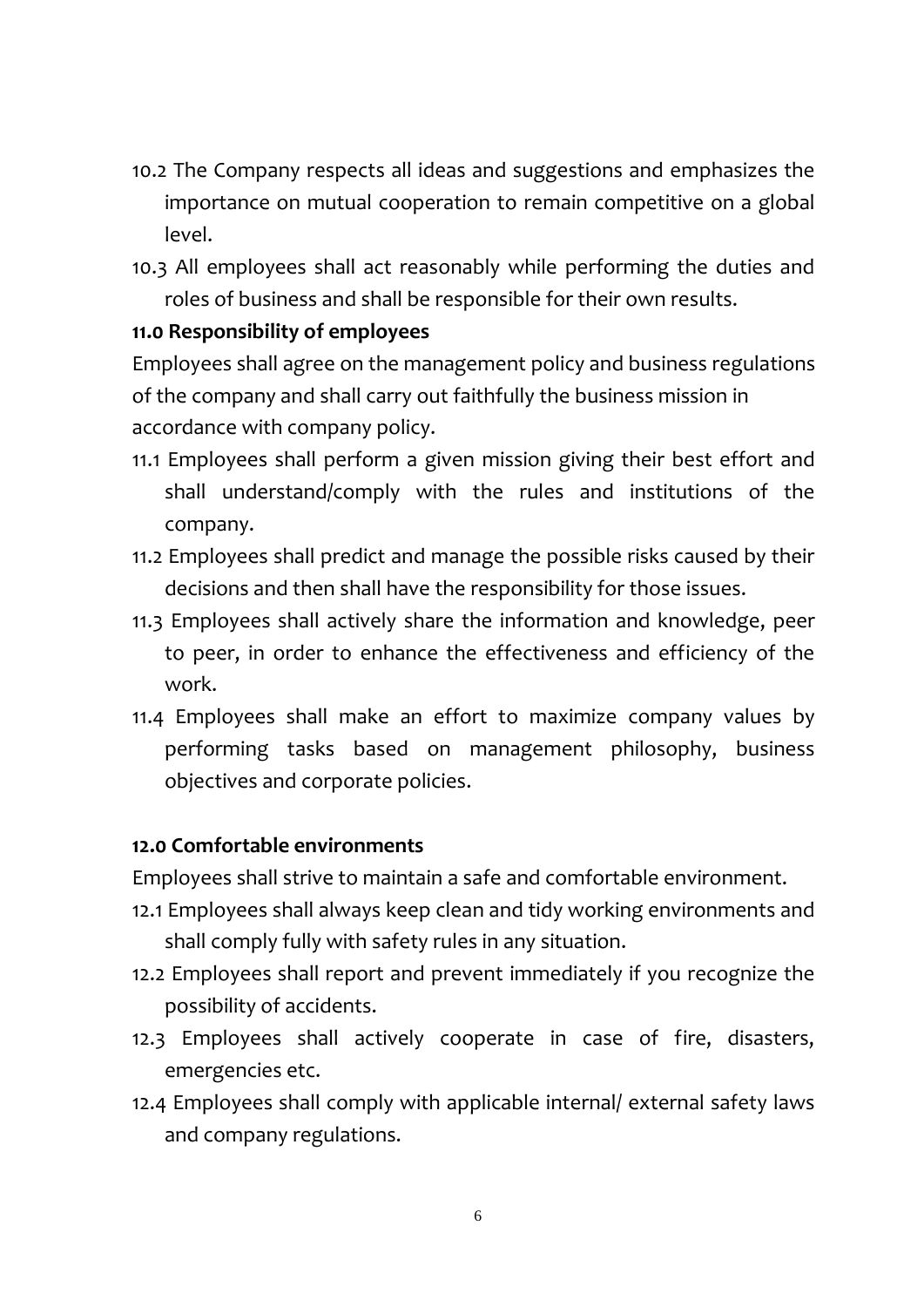- 10.2 The Company respects all ideas and suggestions and emphasizes the importance on mutual cooperation to remain competitive on a global level.
- 10.3 All employees shall act reasonably while performing the duties and roles of business and shall be responsible for their own results.

### **11.0 Responsibility of employees**

Employees shall agree on the management policy and business regulations of the company and shall carry out faithfully the business mission in accordance with company policy.

- 11.1 Employees shall perform a given mission giving their best effort and shall understand/comply with the rules and institutions of the company.
- 11.2 Employees shall predict and manage the possible risks caused by their decisions and then shall have the responsibility for those issues.
- 11.3 Employees shall actively share the information and knowledge, peer to peer, in order to enhance the effectiveness and efficiency of the work.
- 11.4 Employees shall make an effort to maximize company values by performing tasks based on management philosophy, business objectives and corporate policies.

#### **12.0 Comfortable environments**

Employees shall strive to maintain a safe and comfortable environment.

- 12.1 Employees shall always keep clean and tidy working environments and shall comply fully with safety rules in any situation.
- 12.2 Employees shall report and prevent immediately if you recognize the possibility of accidents.
- 12.3 Employees shall actively cooperate in case of fire, disasters, emergencies etc.
- 12.4 Employees shall comply with applicable internal/ external safety laws and company regulations.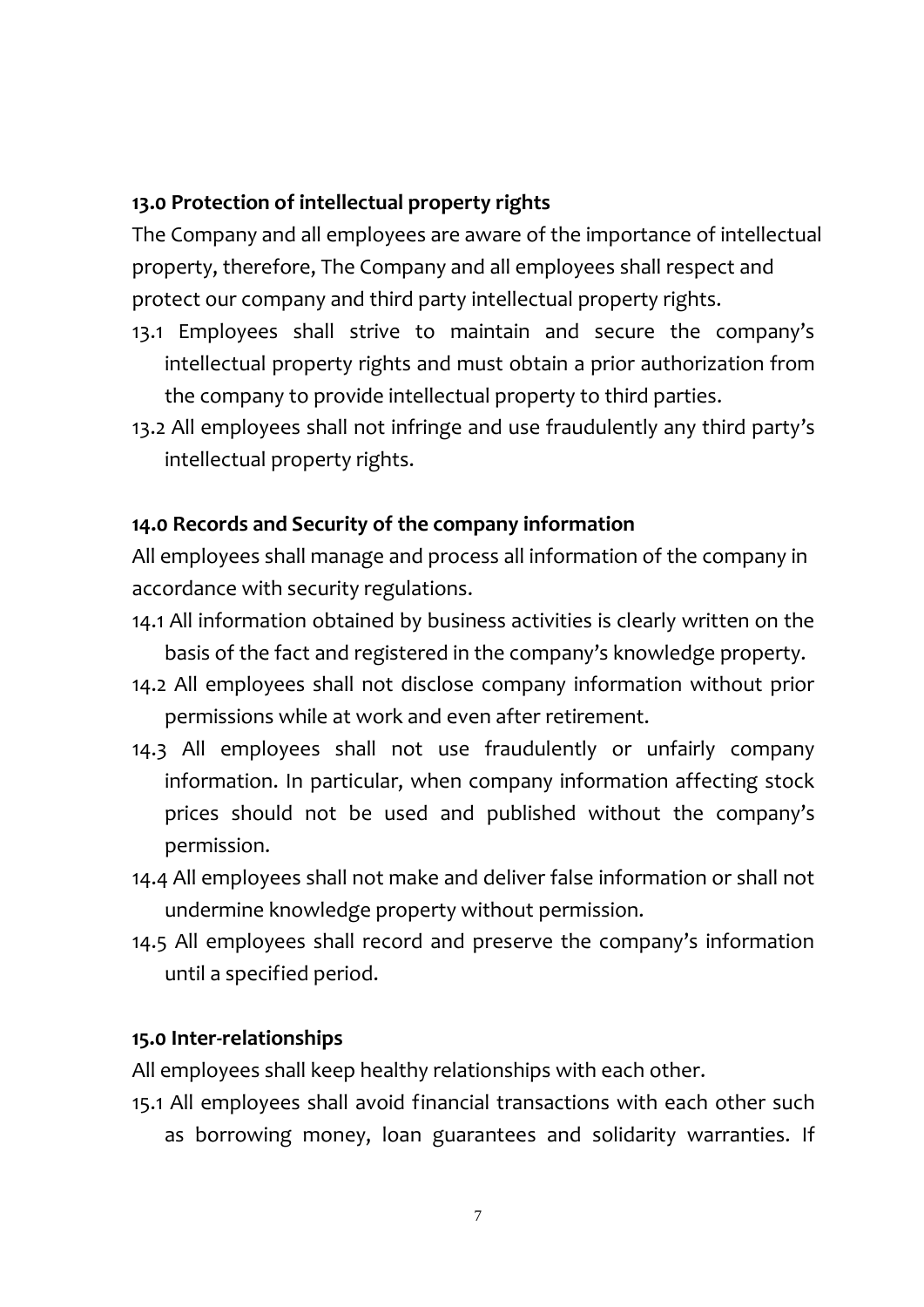### **13.0 Protection of intellectual property rights**

The Company and all employees are aware of the importance of intellectual property, therefore, The Company and all employees shall respect and protect our company and third party intellectual property rights.

- 13.1 Employees shall strive to maintain and secure the company's intellectual property rights and must obtain a prior authorization from the company to provide intellectual property to third parties.
- 13.2 All employees shall not infringe and use fraudulently any third party's intellectual property rights.

# **14.0 Records and Security of the company information**

All employees shall manage and process all information of the company in accordance with security regulations.

- 14.1 All information obtained by business activities is clearly written on the basis of the fact and registered in the company's knowledge property.
- 14.2 All employees shall not disclose company information without prior permissions while at work and even after retirement.
- 14.3 All employees shall not use fraudulently or unfairly company information. In particular, when company information affecting stock prices should not be used and published without the company's permission.
- 14.4 All employees shall not make and deliver false information or shall not undermine knowledge property without permission.
- 14.5 All employees shall record and preserve the company's information until a specified period.

#### **15.0 Inter-relationships**

All employees shall keep healthy relationships with each other.

15.1 All employees shall avoid financial transactions with each other such as borrowing money, loan guarantees and solidarity warranties. If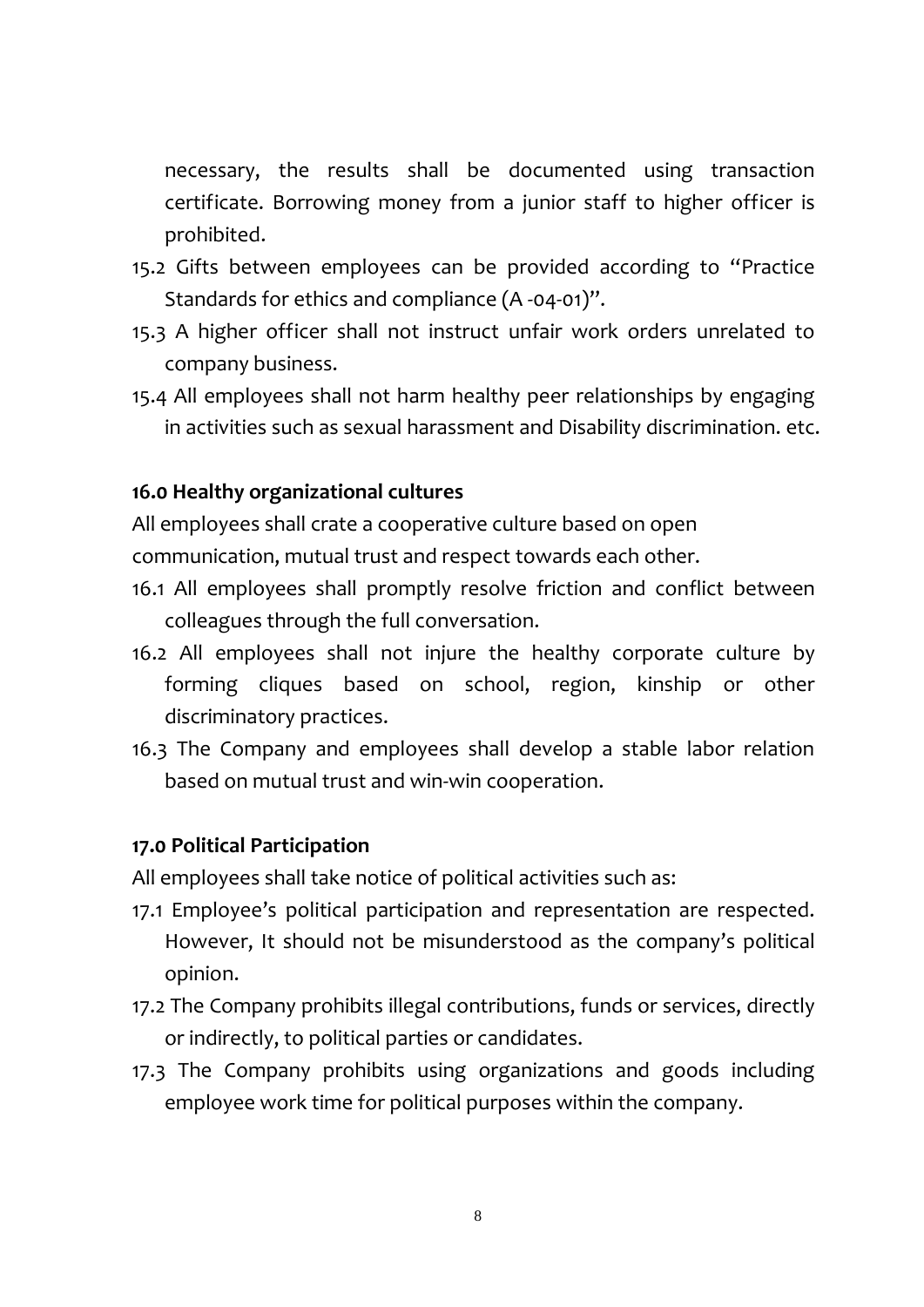necessary, the results shall be documented using transaction certificate. Borrowing money from a junior staff to higher officer is prohibited.

- 15.2 Gifts between employees can be provided according to "Practice Standards for ethics and compliance (A -04-01)".
- 15.3 A higher officer shall not instruct unfair work orders unrelated to company business.
- 15.4 All employees shall not harm healthy peer relationships by engaging in activities such as sexual harassment and Disability discrimination. etc.

#### **16.0 Healthy organizational cultures**

All employees shall crate a cooperative culture based on open

communication, mutual trust and respect towards each other.

- 16.1 All employees shall promptly resolve friction and conflict between colleagues through the full conversation.
- 16.2 All employees shall not injure the healthy corporate culture by forming cliques based on school, region, kinship or other discriminatory practices.
- 16.3 The Company and employees shall develop a stable labor relation based on mutual trust and win-win cooperation.

#### **17.0 Political Participation**

All employees shall take notice of political activities such as:

- 17.1 Employee's political participation and representation are respected. However, It should not be misunderstood as the company's political opinion.
- 17.2 The Company prohibits illegal contributions, funds or services, directly or indirectly, to political parties or candidates.
- 17.3 The Company prohibits using organizations and goods including employee work time for political purposes within the company.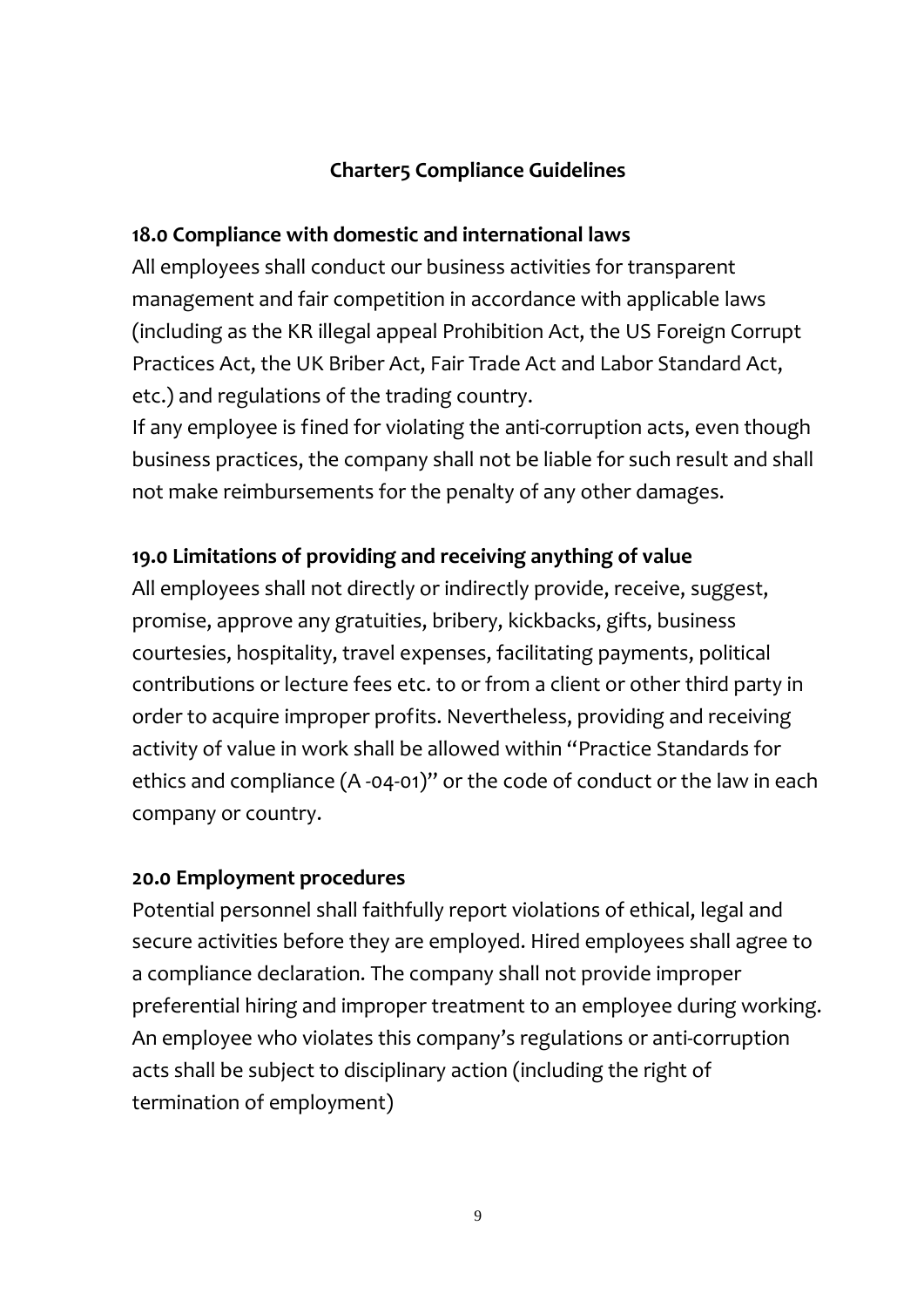# **Charter5 Compliance Guidelines**

# **18.0 Compliance with domestic and international laws**

All employees shall conduct our business activities for transparent management and fair competition in accordance with applicable laws (including as the KR illegal appeal Prohibition Act, the US Foreign Corrupt Practices Act, the UK Briber Act, Fair Trade Act and Labor Standard Act, etc.) and regulations of the trading country.

If any employee is fined for violating the anti-corruption acts, even though business practices, the company shall not be liable for such result and shall not make reimbursements for the penalty of any other damages.

# **19.0 Limitations of providing and receiving anything of value**

All employees shall not directly or indirectly provide, receive, suggest, promise, approve any gratuities, bribery, kickbacks, gifts, business courtesies, hospitality, travel expenses, facilitating payments, political contributions or lecture fees etc. to or from a client or other third party in order to acquire improper profits. Nevertheless, providing and receiving activity of value in work shall be allowed within "Practice Standards for ethics and compliance (A -04-01)" or the code of conduct or the law in each company or country.

# **20.0 Employment procedures**

Potential personnel shall faithfully report violations of ethical, legal and secure activities before they are employed. Hired employees shall agree to a compliance declaration. The company shall not provide improper preferential hiring and improper treatment to an employee during working. An employee who violates this company's regulations or anti-corruption acts shall be subject to disciplinary action (including the right of termination of employment)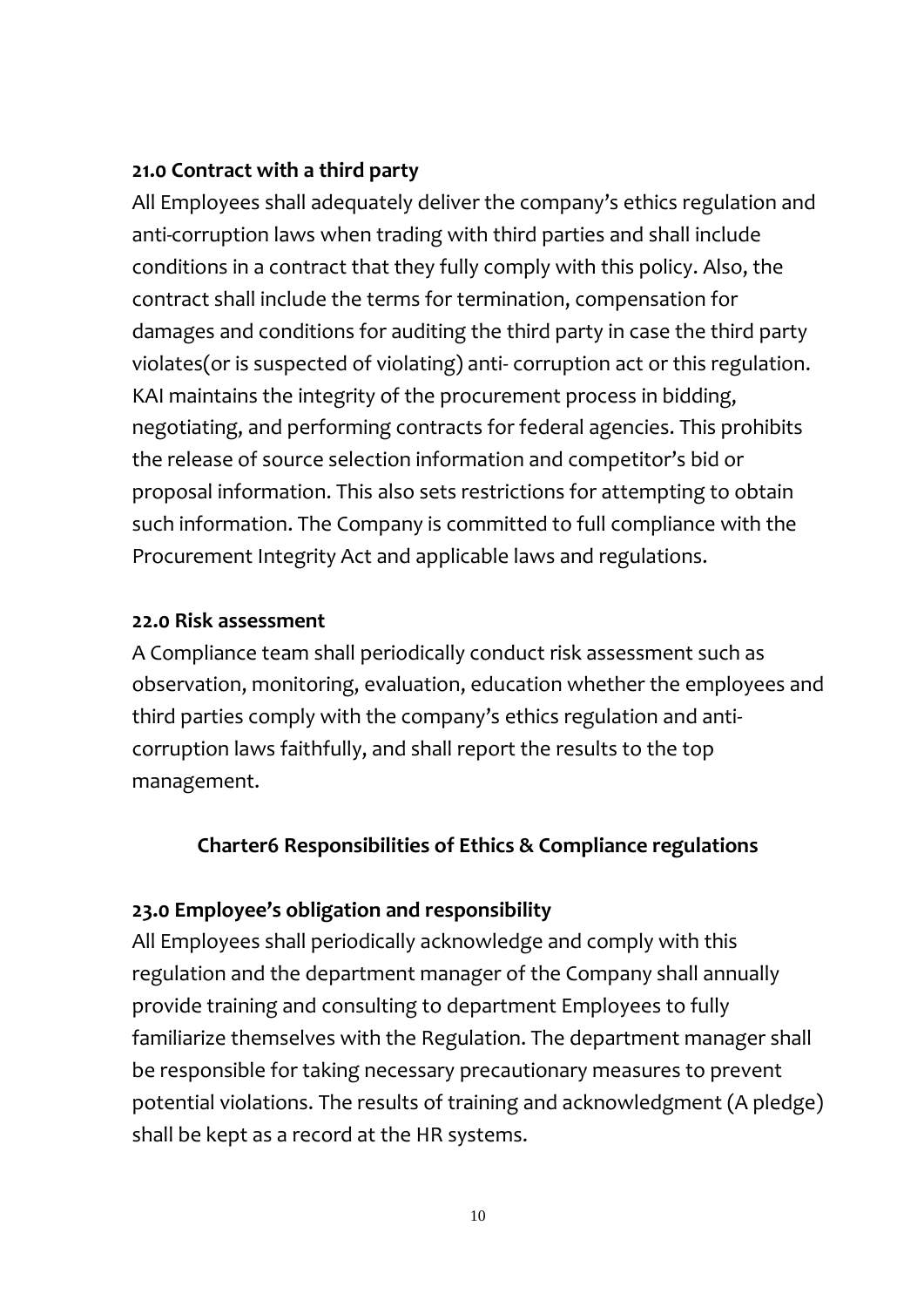# **21.0 Contract with a third party**

All Employees shall adequately deliver the company's ethics regulation and anti-corruption laws when trading with third parties and shall include conditions in a contract that they fully comply with this policy. Also, the contract shall include the terms for termination, compensation for damages and conditions for auditing the third party in case the third party violates(or is suspected of violating) anti- corruption act or this regulation. KAI maintains the integrity of the procurement process in bidding, negotiating, and performing contracts for federal agencies. This prohibits the release of source selection information and competitor's bid or proposal information. This also sets restrictions for attempting to obtain such information. The Company is committed to full compliance with the Procurement Integrity Act and applicable laws and regulations.

### **22.0 Risk assessment**

A Compliance team shall periodically conduct risk assessment such as observation, monitoring, evaluation, education whether the employees and third parties comply with the company's ethics regulation and anticorruption laws faithfully, and shall report the results to the top management.

# **Charter6 Responsibilities of Ethics & Compliance regulations**

# **23.0 Employee's obligation and responsibility**

All Employees shall periodically acknowledge and comply with this regulation and the department manager of the Company shall annually provide training and consulting to department Employees to fully familiarize themselves with the Regulation. The department manager shall be responsible for taking necessary precautionary measures to prevent potential violations. The results of training and acknowledgment (A pledge) shall be kept as a record at the HR systems.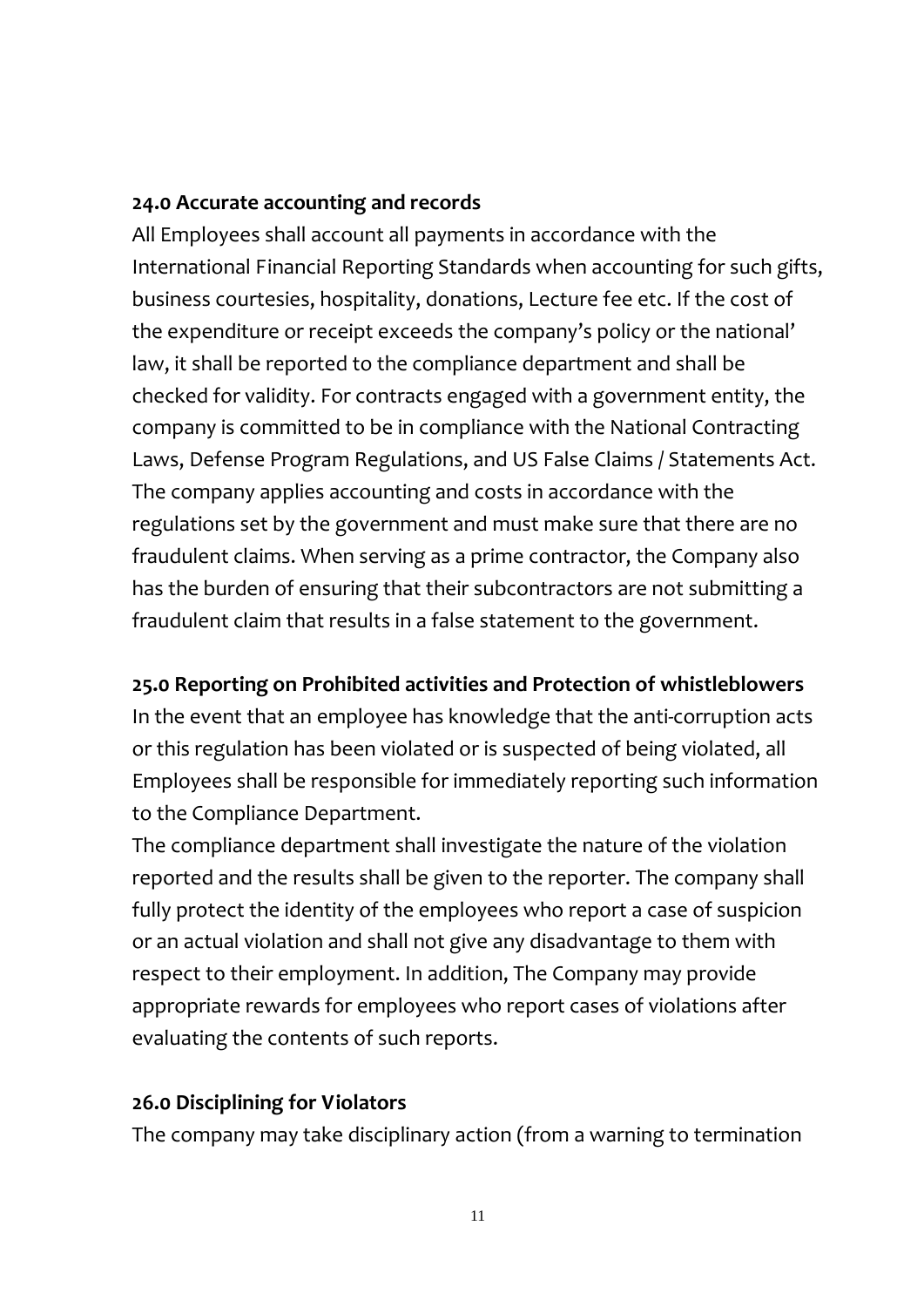#### **24.0 Accurate accounting and records**

All Employees shall account all payments in accordance with the International Financial Reporting Standards when accounting for such gifts, business courtesies, hospitality, donations, Lecture fee etc. If the cost of the expenditure or receipt exceeds the company's policy or the national' law, it shall be reported to the compliance department and shall be checked for validity. For contracts engaged with a government entity, the company is committed to be in compliance with the National Contracting Laws, Defense Program Regulations, and US False Claims / Statements Act. The company applies accounting and costs in accordance with the regulations set by the government and must make sure that there are no fraudulent claims. When serving as a prime contractor, the Company also has the burden of ensuring that their subcontractors are not submitting a fraudulent claim that results in a false statement to the government.

#### **25.0 Reporting on Prohibited activities and Protection of whistleblowers**

In the event that an employee has knowledge that the anti-corruption acts or this regulation has been violated or is suspected of being violated, all Employees shall be responsible for immediately reporting such information to the Compliance Department.

The compliance department shall investigate the nature of the violation reported and the results shall be given to the reporter. The company shall fully protect the identity of the employees who report a case of suspicion or an actual violation and shall not give any disadvantage to them with respect to their employment. In addition, The Company may provide appropriate rewards for employees who report cases of violations after evaluating the contents of such reports.

#### **26.0 Disciplining for Violators**

The company may take disciplinary action (from a warning to termination